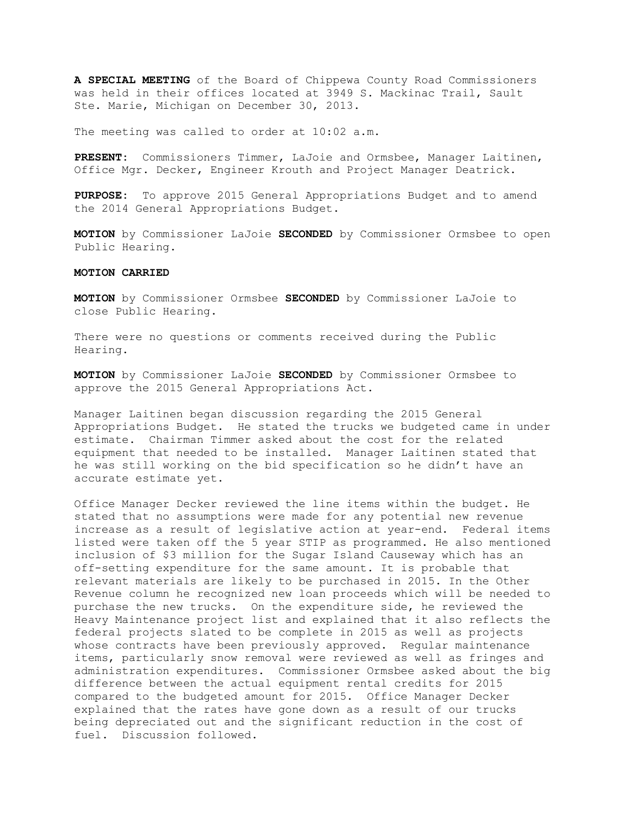**A SPECIAL MEETING** of the Board of Chippewa County Road Commissioners was held in their offices located at 3949 S. Mackinac Trail, Sault Ste. Marie, Michigan on December 30, 2013.

The meeting was called to order at 10:02 a.m.

**PRESENT:** Commissioners Timmer, LaJoie and Ormsbee, Manager Laitinen, Office Mgr. Decker, Engineer Krouth and Project Manager Deatrick.

**PURPOSE:** To approve 2015 General Appropriations Budget and to amend the 2014 General Appropriations Budget.

**MOTION** by Commissioner LaJoie **SECONDED** by Commissioner Ormsbee to open Public Hearing.

#### **MOTION CARRIED**

**MOTION** by Commissioner Ormsbee **SECONDED** by Commissioner LaJoie to close Public Hearing.

There were no questions or comments received during the Public Hearing.

**MOTION** by Commissioner LaJoie **SECONDED** by Commissioner Ormsbee to approve the 2015 General Appropriations Act.

Manager Laitinen began discussion regarding the 2015 General Appropriations Budget. He stated the trucks we budgeted came in under estimate. Chairman Timmer asked about the cost for the related equipment that needed to be installed. Manager Laitinen stated that he was still working on the bid specification so he didn't have an accurate estimate yet.

Office Manager Decker reviewed the line items within the budget. He stated that no assumptions were made for any potential new revenue increase as a result of legislative action at year-end. Federal items listed were taken off the 5 year STIP as programmed. He also mentioned inclusion of \$3 million for the Sugar Island Causeway which has an off-setting expenditure for the same amount. It is probable that relevant materials are likely to be purchased in 2015. In the Other Revenue column he recognized new loan proceeds which will be needed to purchase the new trucks. On the expenditure side, he reviewed the Heavy Maintenance project list and explained that it also reflects the federal projects slated to be complete in 2015 as well as projects whose contracts have been previously approved. Regular maintenance items, particularly snow removal were reviewed as well as fringes and administration expenditures. Commissioner Ormsbee asked about the big difference between the actual equipment rental credits for 2015 compared to the budgeted amount for 2015. Office Manager Decker explained that the rates have gone down as a result of our trucks being depreciated out and the significant reduction in the cost of fuel. Discussion followed.